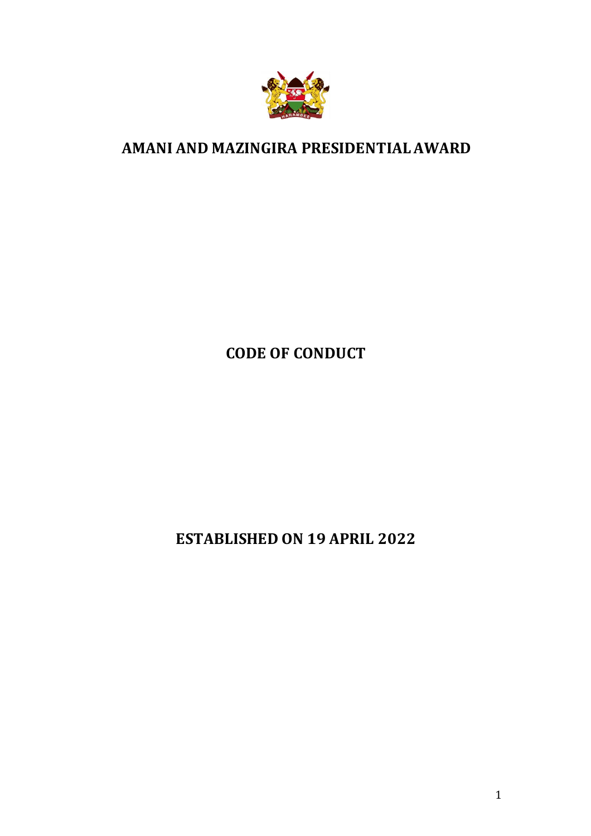

## **AMANI AND MAZINGIRA PRESIDENTIAL AWARD**

**CODE OF CONDUCT**

**ESTABLISHED ON 19 APRIL 2022**